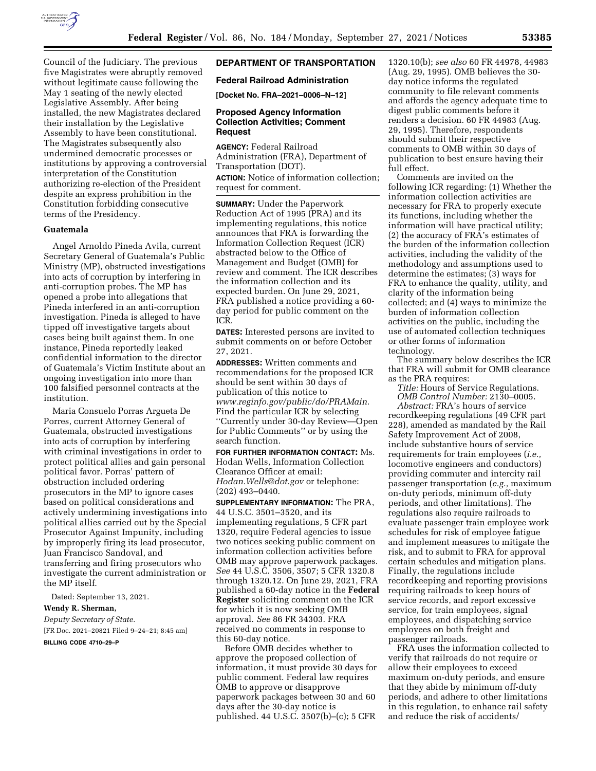

Council of the Judiciary. The previous five Magistrates were abruptly removed without legitimate cause following the May 1 seating of the newly elected Legislative Assembly. After being installed, the new Magistrates declared their installation by the Legislative Assembly to have been constitutional. The Magistrates subsequently also undermined democratic processes or institutions by approving a controversial interpretation of the Constitution authorizing re-election of the President despite an express prohibition in the Constitution forbidding consecutive terms of the Presidency.

#### **Guatemala**

Angel Arnoldo Pineda Avila, current Secretary General of Guatemala's Public Ministry (MP), obstructed investigations into acts of corruption by interfering in anti-corruption probes. The MP has opened a probe into allegations that Pineda interfered in an anti-corruption investigation. Pineda is alleged to have tipped off investigative targets about cases being built against them. In one instance, Pineda reportedly leaked confidential information to the director of Guatemala's Victim Institute about an ongoing investigation into more than 100 falsified personnel contracts at the institution.

Maria Consuelo Porras Argueta De Porres, current Attorney General of Guatemala, obstructed investigations into acts of corruption by interfering with criminal investigations in order to protect political allies and gain personal political favor. Porras' pattern of obstruction included ordering prosecutors in the MP to ignore cases based on political considerations and actively undermining investigations into political allies carried out by the Special Prosecutor Against Impunity, including by improperly firing its lead prosecutor, Juan Francisco Sandoval, and transferring and firing prosecutors who investigate the current administration or the MP itself.

Dated: September 13, 2021.

## **Wendy R. Sherman,**

*Deputy Secretary of State.*  [FR Doc. 2021–20821 Filed 9–24–21; 8:45 am]

**BILLING CODE 4710–29–P** 

## **DEPARTMENT OF TRANSPORTATION**

# **Federal Railroad Administration**

**[Docket No. FRA–2021–0006–N–12]** 

### **Proposed Agency Information Collection Activities; Comment Request**

**AGENCY:** Federal Railroad Administration (FRA), Department of Transportation (DOT). **ACTION:** Notice of information collection; request for comment.

**SUMMARY:** Under the Paperwork Reduction Act of 1995 (PRA) and its implementing regulations, this notice announces that FRA is forwarding the Information Collection Request (ICR) abstracted below to the Office of Management and Budget (OMB) for review and comment. The ICR describes the information collection and its expected burden. On June 29, 2021, FRA published a notice providing a 60 day period for public comment on the ICR.

**DATES:** Interested persons are invited to submit comments on or before October 27, 2021.

**ADDRESSES:** Written comments and recommendations for the proposed ICR should be sent within 30 days of publication of this notice to *[www.reginfo.gov/public/do/PRAMain.](http://www.reginfo.gov/public/do/PRAMain)*  Find the particular ICR by selecting ''Currently under 30-day Review—Open for Public Comments'' or by using the search function.

**FOR FURTHER INFORMATION CONTACT:** Ms. Hodan Wells, Information Collection Clearance Officer at email: *[Hodan.Wells@dot.gov](mailto:Hodan.Wells@dot.gov)* or telephone: (202) 493–0440.

**SUPPLEMENTARY INFORMATION:** The PRA, 44 U.S.C. 3501–3520, and its implementing regulations, 5 CFR part 1320, require Federal agencies to issue two notices seeking public comment on information collection activities before OMB may approve paperwork packages. *See* 44 U.S.C. 3506, 3507; 5 CFR 1320.8 through 1320.12. On June 29, 2021, FRA published a 60-day notice in the **Federal Register** soliciting comment on the ICR for which it is now seeking OMB approval. *See* 86 FR 34303. FRA received no comments in response to this 60-day notice.

Before OMB decides whether to approve the proposed collection of information, it must provide 30 days for public comment. Federal law requires OMB to approve or disapprove paperwork packages between 30 and 60 days after the 30-day notice is published. 44 U.S.C. 3507(b)–(c); 5 CFR

1320.10(b); *see also* 60 FR 44978, 44983 (Aug. 29, 1995). OMB believes the 30 day notice informs the regulated community to file relevant comments and affords the agency adequate time to digest public comments before it renders a decision. 60 FR 44983 (Aug. 29, 1995). Therefore, respondents should submit their respective comments to OMB within 30 days of publication to best ensure having their full effect.

Comments are invited on the following ICR regarding: (1) Whether the information collection activities are necessary for FRA to properly execute its functions, including whether the information will have practical utility; (2) the accuracy of FRA's estimates of the burden of the information collection activities, including the validity of the methodology and assumptions used to determine the estimates; (3) ways for FRA to enhance the quality, utility, and clarity of the information being collected; and (4) ways to minimize the burden of information collection activities on the public, including the use of automated collection techniques or other forms of information technology.

The summary below describes the ICR that FRA will submit for OMB clearance as the PRA requires:

*Title:* Hours of Service Regulations.

*OMB Control Number:* 2130–0005. *Abstract:* FRA's hours of service recordkeeping regulations (49 CFR part 228), amended as mandated by the Rail Safety Improvement Act of 2008, include substantive hours of service requirements for train employees (*i.e.,*  locomotive engineers and conductors) providing commuter and intercity rail passenger transportation (*e.g.,* maximum on-duty periods, minimum off-duty periods, and other limitations). The regulations also require railroads to evaluate passenger train employee work schedules for risk of employee fatigue and implement measures to mitigate the risk, and to submit to FRA for approval certain schedules and mitigation plans. Finally, the regulations include recordkeeping and reporting provisions requiring railroads to keep hours of service records, and report excessive service, for train employees, signal employees, and dispatching service employees on both freight and passenger railroads.

FRA uses the information collected to verify that railroads do not require or allow their employees to exceed maximum on-duty periods, and ensure that they abide by minimum off-duty periods, and adhere to other limitations in this regulation, to enhance rail safety and reduce the risk of accidents/